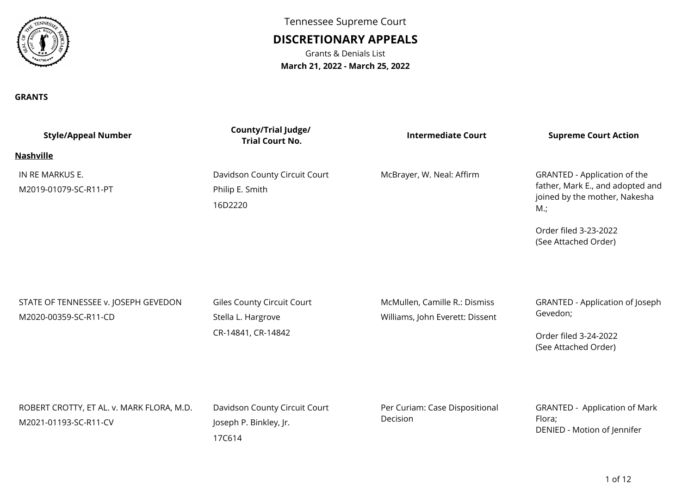

#### **GRANTS**

Tennessee Supreme Court

# **DISCRETIONARY APPEALS**

Grants & Denials List**March 21, 2022 - March 25, 2022**

| <b>Style/Appeal Number</b>                                         | County/Trial Judge/<br><b>Trial Court No.</b>                          | <b>Intermediate Court</b>                                        | <b>Supreme Court Action</b>                                                                                                                                  |
|--------------------------------------------------------------------|------------------------------------------------------------------------|------------------------------------------------------------------|--------------------------------------------------------------------------------------------------------------------------------------------------------------|
| <b>Nashville</b>                                                   |                                                                        |                                                                  |                                                                                                                                                              |
| IN RE MARKUS E.<br>M2019-01079-SC-R11-PT                           | Davidson County Circuit Court<br>Philip E. Smith<br>16D2220            | McBrayer, W. Neal: Affirm                                        | GRANTED - Application of the<br>father, Mark E., and adopted and<br>joined by the mother, Nakesha<br>$M$ .;<br>Order filed 3-23-2022<br>(See Attached Order) |
| STATE OF TENNESSEE v. JOSEPH GEVEDON<br>M2020-00359-SC-R11-CD      | Giles County Circuit Court<br>Stella L. Hargrove<br>CR-14841, CR-14842 | McMullen, Camille R.: Dismiss<br>Williams, John Everett: Dissent | GRANTED - Application of Joseph<br>Gevedon;<br>Order filed 3-24-2022<br>(See Attached Order)                                                                 |
| ROBERT CROTTY, ET AL. v. MARK FLORA, M.D.<br>M2021-01193-SC-R11-CV | Davidson County Circuit Court<br>Joseph P. Binkley, Jr.<br>17C614      | Per Curiam: Case Dispositional<br>Decision                       | <b>GRANTED - Application of Mark</b><br>Flora;<br>DENIED - Motion of Jennifer                                                                                |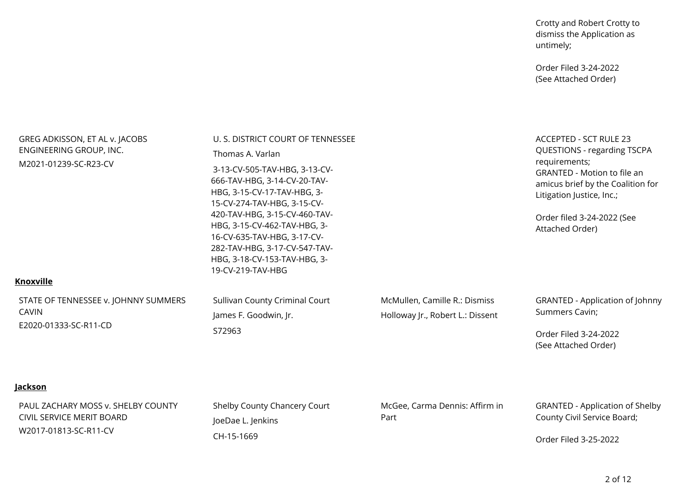Crotty and Robert Crotty to dismiss the Application asuntimely;

Order Filed 3-24-2022(See Attached Order)

| GREG ADKISSON, ET AL v. JACOBS<br>ENGINEERING GROUP, INC.<br>M2021-01239-SC-R23-CV       | U. S. DISTRICT COURT OF TENNESSEE<br>Thomas A. Varlan<br>3-13-CV-505-TAV-HBG, 3-13-CV-<br>666-TAV-HBG, 3-14-CV-20-TAV-<br>HBG, 3-15-CV-17-TAV-HBG, 3-<br>15-CV-274-TAV-HBG, 3-15-CV-<br>420-TAV-HBG, 3-15-CV-460-TAV-<br>HBG, 3-15-CV-462-TAV-HBG, 3-<br>16-CV-635-TAV-HBG, 3-17-CV-<br>282-TAV-HBG, 3-17-CV-547-TAV-<br>HBG, 3-18-CV-153-TAV-HBG, 3-<br>19-CV-219-TAV-HBG |                                                                   | ACCEPTED - SCT RULE 23<br>QUESTIONS - regarding TSCPA<br>requirements;<br><b>GRANTED - Motion to file an</b><br>amicus brief by the Coalition for<br>Litigation Justice, Inc.;<br>Order filed 3-24-2022 (See<br>Attached Order) |
|------------------------------------------------------------------------------------------|----------------------------------------------------------------------------------------------------------------------------------------------------------------------------------------------------------------------------------------------------------------------------------------------------------------------------------------------------------------------------|-------------------------------------------------------------------|---------------------------------------------------------------------------------------------------------------------------------------------------------------------------------------------------------------------------------|
| <b>Knoxville</b>                                                                         |                                                                                                                                                                                                                                                                                                                                                                            |                                                                   |                                                                                                                                                                                                                                 |
| STATE OF TENNESSEE v. JOHNNY SUMMERS<br><b>CAVIN</b><br>E2020-01333-SC-R11-CD            | Sullivan County Criminal Court<br>James F. Goodwin, Jr.<br>S72963                                                                                                                                                                                                                                                                                                          | McMullen, Camille R.: Dismiss<br>Holloway Jr., Robert L.: Dissent | <b>GRANTED - Application of Johnny</b><br>Summers Cavin;<br>Order Filed 3-24-2022<br>(See Attached Order)                                                                                                                       |
| <u>Jackson</u>                                                                           |                                                                                                                                                                                                                                                                                                                                                                            |                                                                   |                                                                                                                                                                                                                                 |
| PAUL ZACHARY MOSS v. SHELBY COUNTY<br>CIVIL SERVICE MERIT BOARD<br>W2017-01813-SC-R11-CV | Shelby County Chancery Court<br>JoeDae L. Jenkins<br>CH-15-1669                                                                                                                                                                                                                                                                                                            | McGee, Carma Dennis: Affirm in<br>Part                            | <b>GRANTED - Application of Shelby</b><br>County Civil Service Board;<br>Ordor Filod 2 25 2022                                                                                                                                  |

Order Filed 3-25-2022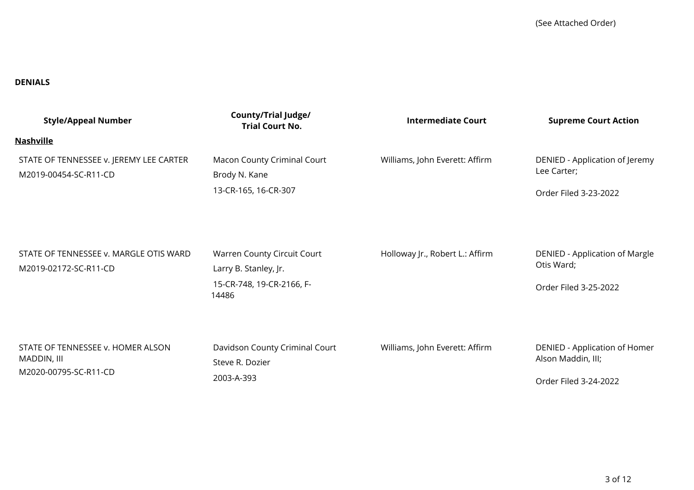#### **DENIALS**

| <b>Style/Appeal Number</b>                                                | <b>County/Trial Judge/</b><br><b>Trial Court No.</b>                                       | <b>Intermediate Court</b>       | <b>Supreme Court Action</b>                                                  |
|---------------------------------------------------------------------------|--------------------------------------------------------------------------------------------|---------------------------------|------------------------------------------------------------------------------|
| <u>Nashville</u>                                                          |                                                                                            |                                 |                                                                              |
| STATE OF TENNESSEE v. JEREMY LEE CARTER<br>M2019-00454-SC-R11-CD          | Macon County Criminal Court<br>Brody N. Kane<br>13-CR-165, 16-CR-307                       | Williams, John Everett: Affirm  | DENIED - Application of Jeremy<br>Lee Carter;<br>Order Filed 3-23-2022       |
| STATE OF TENNESSEE v. MARGLE OTIS WARD<br>M2019-02172-SC-R11-CD           | Warren County Circuit Court<br>Larry B. Stanley, Jr.<br>15-CR-748, 19-CR-2166, F-<br>14486 | Holloway Jr., Robert L.: Affirm | DENIED - Application of Margle<br>Otis Ward;<br>Order Filed 3-25-2022        |
| STATE OF TENNESSEE v. HOMER ALSON<br>MADDIN, III<br>M2020-00795-SC-R11-CD | Davidson County Criminal Court<br>Steve R. Dozier<br>2003-A-393                            | Williams, John Everett: Affirm  | DENIED - Application of Homer<br>Alson Maddin, III;<br>Order Filed 3-24-2022 |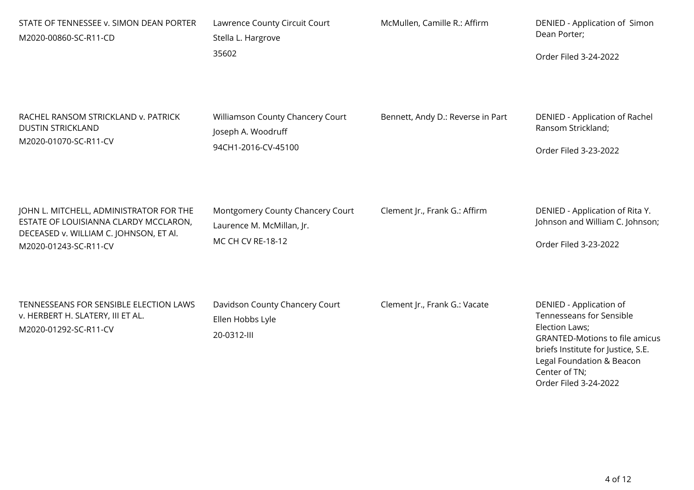| STATE OF TENNESSEE v. SIMON DEAN PORTER<br>M2020-00860-SC-R11-CD                                                                                    | Lawrence County Circuit Court<br>Stella L. Hargrove<br>35602                       | McMullen, Camille R.: Affirm      | DENIED - Application of Simon<br>Dean Porter;<br>Order Filed 3-24-2022                                                                                                                                                      |
|-----------------------------------------------------------------------------------------------------------------------------------------------------|------------------------------------------------------------------------------------|-----------------------------------|-----------------------------------------------------------------------------------------------------------------------------------------------------------------------------------------------------------------------------|
| RACHEL RANSOM STRICKLAND v. PATRICK<br><b>DUSTIN STRICKLAND</b><br>M2020-01070-SC-R11-CV                                                            | Williamson County Chancery Court<br>Joseph A. Woodruff<br>94CH1-2016-CV-45100      | Bennett, Andy D.: Reverse in Part | <b>DENIED - Application of Rachel</b><br>Ransom Strickland;<br>Order Filed 3-23-2022                                                                                                                                        |
| JOHN L. MITCHELL, ADMINISTRATOR FOR THE<br>ESTATE OF LOUISIANNA CLARDY MCCLARON,<br>DECEASED v. WILLIAM C. JOHNSON, ET Al.<br>M2020-01243-SC-R11-CV | Montgomery County Chancery Court<br>Laurence M. McMillan, Jr.<br>MC CH CV RE-18-12 | Clement Jr., Frank G.: Affirm     | DENIED - Application of Rita Y.<br>Johnson and William C. Johnson;<br>Order Filed 3-23-2022                                                                                                                                 |
| TENNESSEANS FOR SENSIBLE ELECTION LAWS<br>v. HERBERT H. SLATERY, III ET AL.<br>M2020-01292-SC-R11-CV                                                | Davidson County Chancery Court<br>Ellen Hobbs Lyle<br>20-0312-III                  | Clement Jr., Frank G.: Vacate     | DENIED - Application of<br>Tennesseans for Sensible<br>Election Laws;<br><b>GRANTED-Motions to file amicus</b><br>briefs Institute for Justice, S.E.<br>Legal Foundation & Beacon<br>Center of TN;<br>Order Filed 3-24-2022 |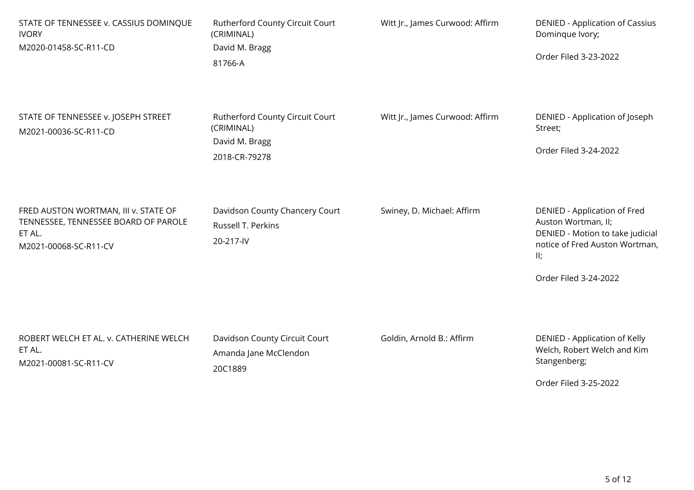| STATE OF TENNESSEE v. CASSIUS DOMINQUE<br><b>IVORY</b><br>M2020-01458-SC-R11-CD                                 | Rutherford County Circuit Court<br>(CRIMINAL)<br>David M. Bragg<br>81766-A       | Witt Jr., James Curwood: Affirm | DENIED - Application of Cassius<br>Dominque Ivory;<br>Order Filed 3-23-2022                                                                               |
|-----------------------------------------------------------------------------------------------------------------|----------------------------------------------------------------------------------|---------------------------------|-----------------------------------------------------------------------------------------------------------------------------------------------------------|
| STATE OF TENNESSEE v. JOSEPH STREET<br>M2021-00036-SC-R11-CD                                                    | Rutherford County Circuit Court<br>(CRIMINAL)<br>David M. Bragg<br>2018-CR-79278 | Witt Jr., James Curwood: Affirm | DENIED - Application of Joseph<br>Street;<br>Order Filed 3-24-2022                                                                                        |
| FRED AUSTON WORTMAN, III v. STATE OF<br>TENNESSEE, TENNESSEE BOARD OF PAROLE<br>ET AL.<br>M2021-00068-SC-R11-CV | Davidson County Chancery Court<br>Russell T. Perkins<br>20-217-IV                | Swiney, D. Michael: Affirm      | DENIED - Application of Fred<br>Auston Wortman, II;<br>DENIED - Motion to take judicial<br>notice of Fred Auston Wortman,<br>II;<br>Order Filed 3-24-2022 |
| ROBERT WELCH ET AL. v. CATHERINE WELCH<br>ET AL.<br>M2021-00081-SC-R11-CV                                       | Davidson County Circuit Court<br>Amanda Jane McClendon<br>20C1889                | Goldin, Arnold B.: Affirm       | DENIED - Application of Kelly<br>Welch, Robert Welch and Kim<br>Stangenberg;<br>Order Filed 3-25-2022                                                     |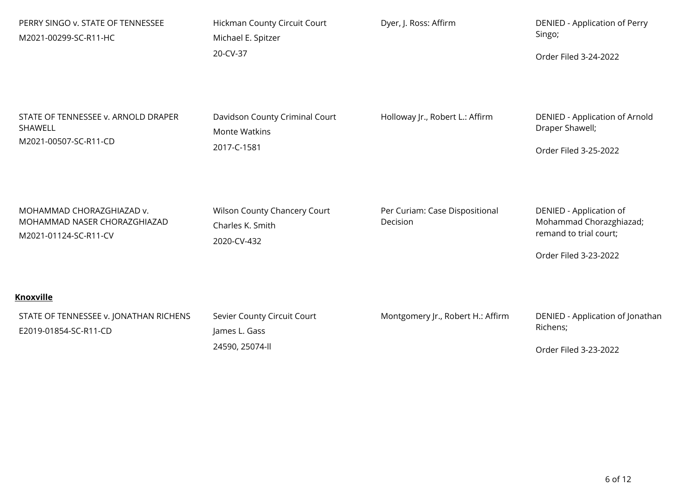| PERRY SINGO v. STATE OF TENNESSEE<br>M2021-00299-SC-R11-HC                         | Hickman County Circuit Court<br>Michael E. Spitzer     | Dyer, J. Ross: Affirm                      | <b>DENIED - Application of Perry</b><br>Singo;                               |
|------------------------------------------------------------------------------------|--------------------------------------------------------|--------------------------------------------|------------------------------------------------------------------------------|
|                                                                                    | 20-CV-37                                               |                                            | Order Filed 3-24-2022                                                        |
|                                                                                    |                                                        |                                            |                                                                              |
| STATE OF TENNESSEE v. ARNOLD DRAPER<br>SHAWELL                                     | Davidson County Criminal Court<br><b>Monte Watkins</b> | Holloway Jr., Robert L.: Affirm            | DENIED - Application of Arnold<br>Draper Shawell;                            |
| M2021-00507-SC-R11-CD                                                              | 2017-C-1581                                            |                                            | Order Filed 3-25-2022                                                        |
|                                                                                    |                                                        |                                            |                                                                              |
| MOHAMMAD CHORAZGHIAZAD v.<br>MOHAMMAD NASER CHORAZGHIAZAD<br>M2021-01124-SC-R11-CV | Wilson County Chancery Court<br>Charles K. Smith       | Per Curiam: Case Dispositional<br>Decision | DENIED - Application of<br>Mohammad Chorazghiazad;<br>remand to trial court; |
|                                                                                    | 2020-CV-432                                            |                                            | Order Filed 3-23-2022                                                        |
| <b>Knoxville</b>                                                                   |                                                        |                                            |                                                                              |
| STATE OF TENNESSEE v. JONATHAN RICHENS<br>E2019-01854-SC-R11-CD                    | Sevier County Circuit Court<br>James L. Gass           | Montgomery Jr., Robert H.: Affirm          | DENIED - Application of Jonathan<br>Richens;                                 |
|                                                                                    | 24590, 25074-ll                                        |                                            | Order Filed 3-23-2022                                                        |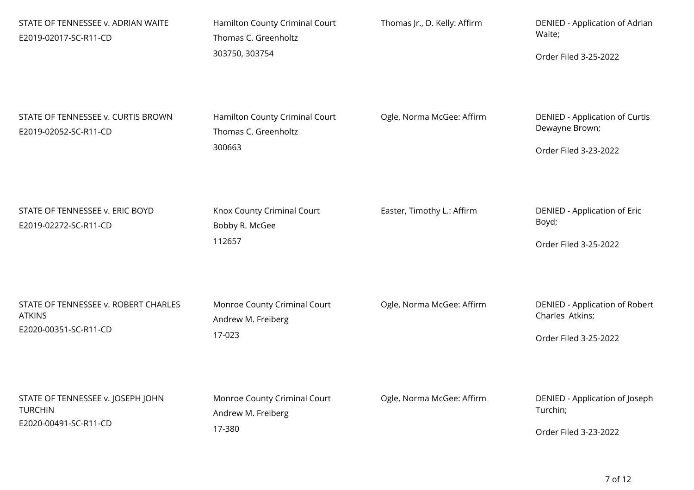| STATE OF TENNESSEE v. ADRIAN WAITE<br>E2019-02017-SC-R11-CD                    | Hamilton County Criminal Court<br>Thomas C. Greenholtz<br>303750, 303754 | Thomas Jr., D. Kelly: Affirm | DENIED - Application of Adrian<br>Waite;<br>Order Filed 3-25-2022                 |
|--------------------------------------------------------------------------------|--------------------------------------------------------------------------|------------------------------|-----------------------------------------------------------------------------------|
| STATE OF TENNESSEE v. CURTIS BROWN<br>E2019-02052-SC-R11-CD                    | Hamilton County Criminal Court<br>Thomas C. Greenholtz<br>300663         | Ogle, Norma McGee: Affirm    | <b>DENIED - Application of Curtis</b><br>Dewayne Brown;<br>Order Filed 3-23-2022  |
| STATE OF TENNESSEE v. ERIC BOYD<br>E2019-02272-SC-R11-CD                       | Knox County Criminal Court<br>Bobby R. McGee<br>112657                   | Easter, Timothy L.: Affirm   | DENIED - Application of Eric<br>Boyd;<br>Order Filed 3-25-2022                    |
| STATE OF TENNESSEE v. ROBERT CHARLES<br><b>ATKINS</b><br>E2020-00351-SC-R11-CD | Monroe County Criminal Court<br>Andrew M. Freiberg<br>17-023             | Ogle, Norma McGee: Affirm    | <b>DENIED - Application of Robert</b><br>Charles Atkins;<br>Order Filed 3-25-2022 |
| STATE OF TENNESSEE v. JOSEPH JOHN<br><b>TURCHIN</b><br>E2020-00491-SC-R11-CD   | Monroe County Criminal Court<br>Andrew M. Freiberg<br>17-380             | Ogle, Norma McGee: Affirm    | DENIED - Application of Joseph<br>Turchin;<br>Order Filed 3-23-2022               |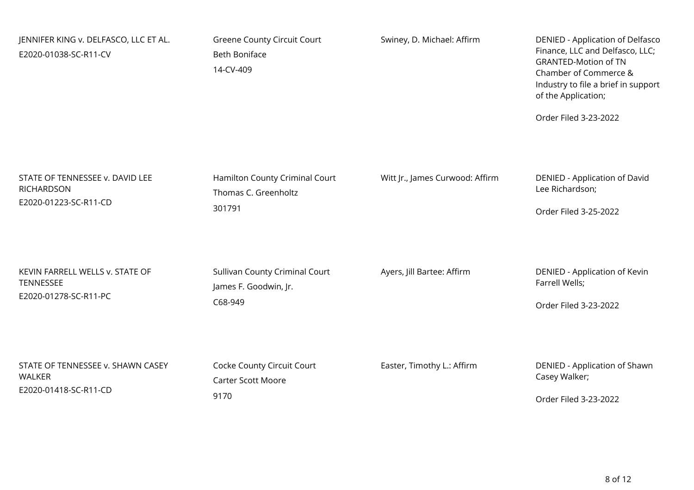| JENNIFER KING v. DELFASCO, LLC ET AL.<br>E2020-01038-SC-R11-CV | <b>Greene County Circuit Court</b><br><b>Beth Boniface</b><br>14-CV-409 | Swiney, D. Michael: Affirm      | DENIED - Application of Delfasco<br>Finance, LLC and Delfasco, LLC;<br><b>GRANTED-Motion of TN</b><br>Chamber of Commerce &<br>Industry to file a brief in support<br>of the Application;<br>Order Filed 3-23-2022 |
|----------------------------------------------------------------|-------------------------------------------------------------------------|---------------------------------|--------------------------------------------------------------------------------------------------------------------------------------------------------------------------------------------------------------------|
| STATE OF TENNESSEE v. DAVID LEE                                | Hamilton County Criminal Court                                          | Witt Jr., James Curwood: Affirm | DENIED - Application of David                                                                                                                                                                                      |
| <b>RICHARDSON</b>                                              | Thomas C. Greenholtz                                                    |                                 | Lee Richardson;                                                                                                                                                                                                    |
| E2020-01223-SC-R11-CD                                          | 301791                                                                  |                                 | Order Filed 3-25-2022                                                                                                                                                                                              |
| KEVIN FARRELL WELLS v. STATE OF                                | Sullivan County Criminal Court                                          | Ayers, Jill Bartee: Affirm      | DENIED - Application of Kevin                                                                                                                                                                                      |
| <b>TENNESSEE</b>                                               | James F. Goodwin, Jr.                                                   |                                 | Farrell Wells;                                                                                                                                                                                                     |
| E2020-01278-SC-R11-PC                                          | C68-949                                                                 |                                 | Order Filed 3-23-2022                                                                                                                                                                                              |
| STATE OF TENNESSEE v. SHAWN CASEY                              | Cocke County Circuit Court                                              | Easter, Timothy L.: Affirm      | DENIED - Application of Shawn                                                                                                                                                                                      |
| <b>WALKER</b>                                                  | <b>Carter Scott Moore</b>                                               |                                 | Casey Walker;                                                                                                                                                                                                      |
| E2020-01418-SC-R11-CD                                          | 9170                                                                    |                                 | Order Filed 3-23-2022                                                                                                                                                                                              |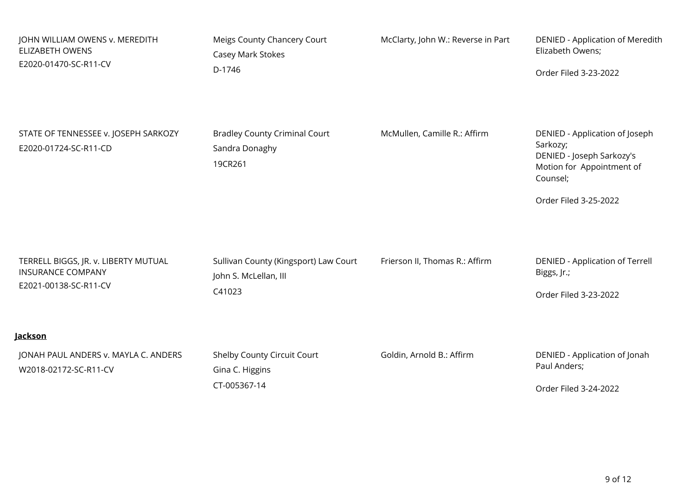| JOHN WILLIAM OWENS v. MEREDITH                                | Meigs County Chancery Court                                       | McClarty, John W.: Reverse in Part | DENIED - Application of Meredith                                                                                                          |
|---------------------------------------------------------------|-------------------------------------------------------------------|------------------------------------|-------------------------------------------------------------------------------------------------------------------------------------------|
| <b>ELIZABETH OWENS</b>                                        | Casey Mark Stokes                                                 |                                    | Elizabeth Owens;                                                                                                                          |
| E2020-01470-SC-R11-CV                                         | D-1746                                                            |                                    | Order Filed 3-23-2022                                                                                                                     |
| STATE OF TENNESSEE v. JOSEPH SARKOZY<br>E2020-01724-SC-R11-CD | <b>Bradley County Criminal Court</b><br>Sandra Donaghy<br>19CR261 | McMullen, Camille R.: Affirm       | DENIED - Application of Joseph<br>Sarkozy;<br>DENIED - Joseph Sarkozy's<br>Motion for Appointment of<br>Counsel;<br>Order Filed 3-25-2022 |
| TERRELL BIGGS, JR. v. LIBERTY MUTUAL                          | Sullivan County (Kingsport) Law Court                             | Frierson II, Thomas R.: Affirm     | <b>DENIED - Application of Terrell</b>                                                                                                    |
| <b>INSURANCE COMPANY</b>                                      | John S. McLellan, III                                             |                                    | Biggs, Jr.;                                                                                                                               |
| E2021-00138-SC-R11-CV                                         | C41023                                                            |                                    | Order Filed 3-23-2022                                                                                                                     |
| <b>Jackson</b>                                                |                                                                   |                                    |                                                                                                                                           |
| JONAH PAUL ANDERS v. MAYLA C. ANDERS                          | Shelby County Circuit Court                                       | Goldin, Arnold B.: Affirm          | DENIED - Application of Jonah                                                                                                             |
| W2018-02172-SC-R11-CV                                         | Gina C. Higgins                                                   |                                    | Paul Anders;                                                                                                                              |
|                                                               | CT-005367-14                                                      |                                    | Order Filed 3-24-2022                                                                                                                     |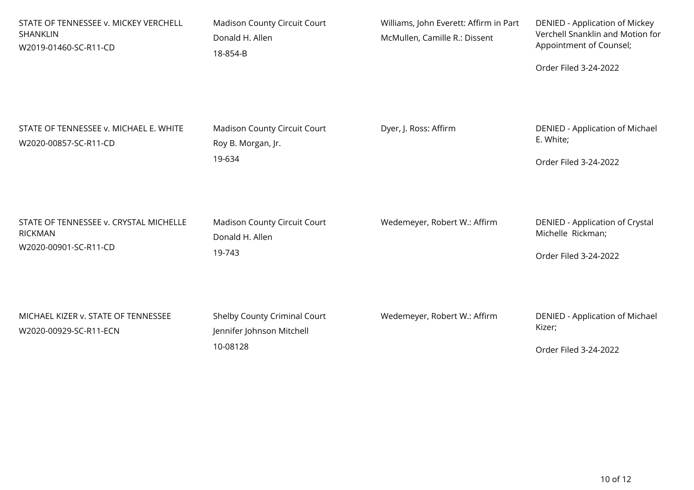| STATE OF TENNESSEE v. MICKEY VERCHELL<br>SHANKLIN<br>W2019-01460-SC-R11-CD        | Madison County Circuit Court<br>Donald H. Allen<br>18-854-B           | Williams, John Everett: Affirm in Part<br>McMullen, Camille R.: Dissent | DENIED - Application of Mickey<br>Verchell Snanklin and Motion for<br>Appointment of Counsel;<br>Order Filed 3-24-2022 |
|-----------------------------------------------------------------------------------|-----------------------------------------------------------------------|-------------------------------------------------------------------------|------------------------------------------------------------------------------------------------------------------------|
| STATE OF TENNESSEE v. MICHAEL E. WHITE<br>W2020-00857-SC-R11-CD                   | Madison County Circuit Court<br>Roy B. Morgan, Jr.<br>19-634          | Dyer, J. Ross: Affirm                                                   | DENIED - Application of Michael<br>E. White;<br>Order Filed 3-24-2022                                                  |
| STATE OF TENNESSEE v. CRYSTAL MICHELLE<br><b>RICKMAN</b><br>W2020-00901-SC-R11-CD | Madison County Circuit Court<br>Donald H. Allen<br>19-743             | Wedemeyer, Robert W.: Affirm                                            | DENIED - Application of Crystal<br>Michelle Rickman;<br>Order Filed 3-24-2022                                          |
| MICHAEL KIZER v. STATE OF TENNESSEE<br>W2020-00929-SC-R11-ECN                     | Shelby County Criminal Court<br>Jennifer Johnson Mitchell<br>10-08128 | Wedemeyer, Robert W.: Affirm                                            | DENIED - Application of Michael<br>Kizer;<br>Order Filed 3-24-2022                                                     |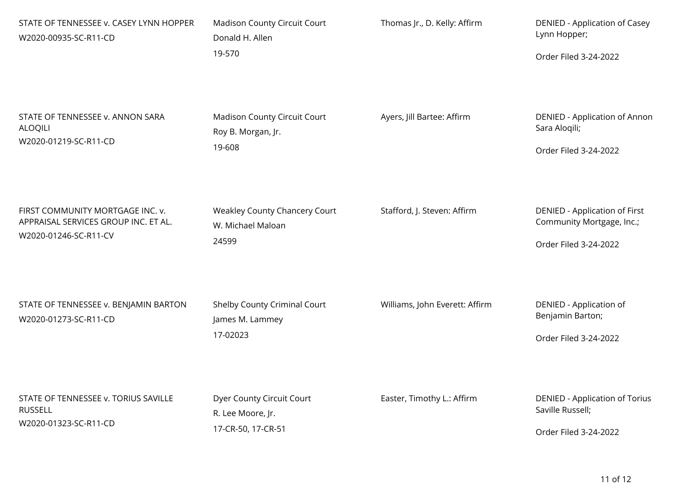| STATE OF TENNESSEE v. CASEY LYNN HOPPER<br>W2020-00935-SC-R11-CD                                  | <b>Madison County Circuit Court</b><br>Donald H. Allen    | Thomas Jr., D. Kelly: Affirm   | DENIED - Application of Casey<br>Lynn Hopper;                     |
|---------------------------------------------------------------------------------------------------|-----------------------------------------------------------|--------------------------------|-------------------------------------------------------------------|
|                                                                                                   | 19-570                                                    |                                | Order Filed 3-24-2022                                             |
| STATE OF TENNESSEE v. ANNON SARA<br><b>ALOQILI</b><br>W2020-01219-SC-R11-CD                       | <b>Madison County Circuit Court</b><br>Roy B. Morgan, Jr. | Ayers, Jill Bartee: Affirm     | DENIED - Application of Annon<br>Sara Aloqili;                    |
|                                                                                                   | 19-608                                                    |                                | Order Filed 3-24-2022                                             |
| FIRST COMMUNITY MORTGAGE INC. v.<br>APPRAISAL SERVICES GROUP INC. ET AL.<br>W2020-01246-SC-R11-CV | Weakley County Chancery Court<br>W. Michael Maloan        | Stafford, J. Steven: Affirm    | <b>DENIED - Application of First</b><br>Community Mortgage, Inc.; |
|                                                                                                   | 24599                                                     |                                | Order Filed 3-24-2022                                             |
| STATE OF TENNESSEE v. BENJAMIN BARTON<br>W2020-01273-SC-R11-CD                                    | Shelby County Criminal Court<br>James M. Lammey           | Williams, John Everett: Affirm | DENIED - Application of<br>Benjamin Barton;                       |
|                                                                                                   | 17-02023                                                  |                                | Order Filed 3-24-2022                                             |
| STATE OF TENNESSEE v. TORIUS SAVILLE<br><b>RUSSELL</b><br>W2020-01323-SC-R11-CD                   | Dyer County Circuit Court<br>R. Lee Moore, Jr.            | Easter, Timothy L.: Affirm     | <b>DENIED - Application of Torius</b><br>Saville Russell;         |
|                                                                                                   | 17-CR-50, 17-CR-51                                        |                                | Order Filed 3-24-2022                                             |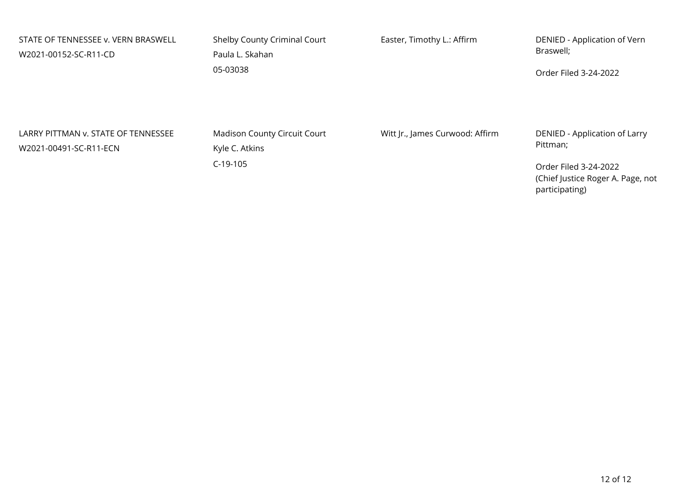| STATE OF TENNESSEE v. VERN BRASWELL<br>W2021-00152-SC-R11-CD  | Shelby County Criminal Court<br>Paula L. Skahan<br>05-03038 | Easter, Timothy L.: Affirm      | DENIED - Application of Vern<br>Braswell;<br>Order Filed 3-24-2022           |
|---------------------------------------------------------------|-------------------------------------------------------------|---------------------------------|------------------------------------------------------------------------------|
| LARRY PITTMAN v. STATE OF TENNESSEE<br>W2021-00491-SC-R11-ECN | <b>Madison County Circuit Court</b><br>Kyle C. Atkins       | Witt Jr., James Curwood: Affirm | DENIED - Application of Larry<br>Pittman;                                    |
|                                                               | $C-19-105$                                                  |                                 | Order Filed 3-24-2022<br>(Chief Justice Roger A. Page, not<br>participating) |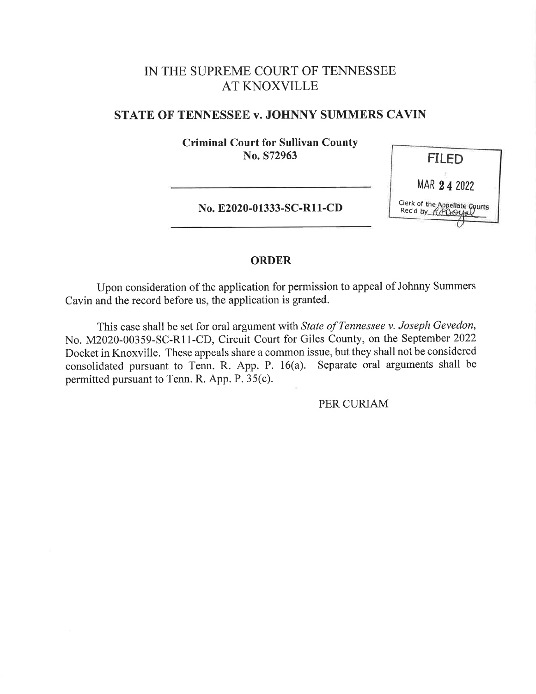## IN THE SUPREME COURT OF TENNESSEE AT KNOXVILLE

#### STATE OF TENNESSEE v. JOHNNY SUMMERS CAVIN

Criminal Court for Sullivan County No. S72963

No. E2020-01333-SC-R11-CD



#### ORDER

Upon consideration of the application for permission to appeal of Johnny Summers Cavin and the record before us, the application is granted.

This case shall be set for oral argument with State of Tennessee v. Joseph Gevedon, No. M2020-00359-SC-R11-CD, Circuit Court for Giles County, on the September 2022 Docket in Knoxville. These appeals share a common issue, but they shall not be considered consolidated pursuant to Tenn. R. App. P. 16(a). Separate oral arguments shall be permitted pursuant to Tenn. R. App. P. 35(c).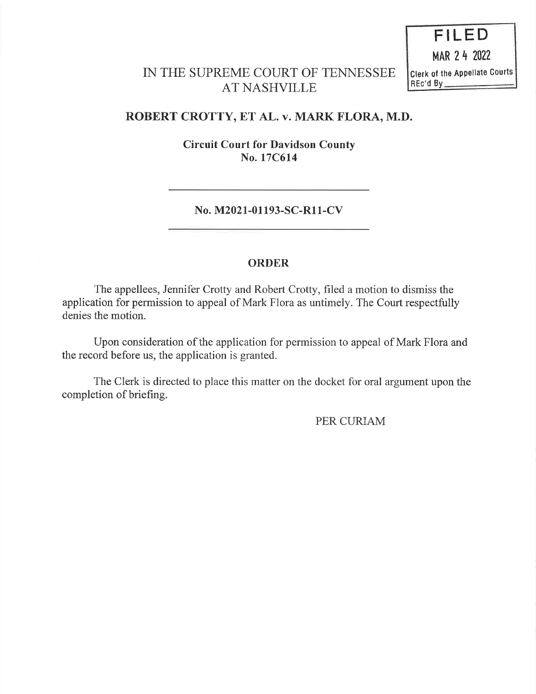FILED MAR 2 4 2022 Clerk of the Appellate Courts REc'd By

## IN THE SUPREME COURT OF TENNESSEE AT NASHVILLE

### ROBERT CROTTY, ET AL. v. MARK FLORA, M.D.

Circuit Court for Davidson County No. 17C614

No. M2021-01193-SC-R11-CV

#### ORDER

The appellees, Jennifer Crotty and Robert Crotty, filed a motion to dismiss the application for permission to appeal of Mark Flora as untimely. The Court respectfully denies the motion.

Upon consideration of the application for permission to appeal of Mark Flora and the record before us, the application is granted.

The Clerk is directed to place this matter on the docket for oral argument upon the completion of briefing.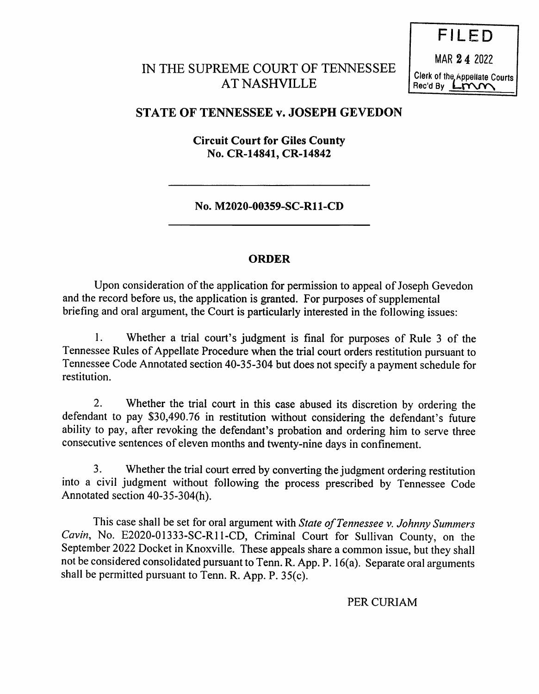# IN THE SUPREME COURT OF TENNESSEE AT NASHVILLE

FILED MAR 2 4 <sup>2022</sup> Clerk of the Appellate Courts  $Rec'dBy$   $L<sub>1</sub> m<sub>1</sub>$ 

## STATE OF TENNESSEE v. JOSEPH GEVEDON

Circuit Court for Giles County No. CR-14841, CR-14842

No. M2020-00359-SC-R11-CD

#### ORDER

Upon consideration of the application for permission to appeal of Joseph Gevedon and the record before us, the application is granted. For purposes of supplemental briefing and oral argument, the Court is particularly interested in the following issues:

1. Whether a trial court's judgment is final for purposes of Rule 3 of the Tennessee Rules of Appellate Procedure when the trial court orders restitution pursuant to Tennessee Code Annotated section 40-35-304 but does not specify a payment schedule for restitution.

2. Whether the trial court in this case abused its discretion by ordering the defendant to pay \$30,490.76 in restitution without considering the defendant's future ability to pay, after revoking the defendant's probation and ordering him to serve three consecutive sentences of eleven months and twenty-nine days in confinement.

3. Whether the trial court erred by converting the judgment ordering restitution into a civil judgment without following the process prescribed by Tennessee Code Annotated section 40-35-304(h).

This case shall be set for oral argument with State of Tennessee v. Johnny Summers Cavin, No. E2020-01333-SC-R11-CD, Criminal Court for Sullivan County, on the September 2022 Docket in Knoxville. These appeals share a common issue, but they shall not be considered consolidated pursuant to Tenn. R. App. P. 16(a). Separate oral arguments shall be permitted pursuant to Tenn. R. App. P. 35(c).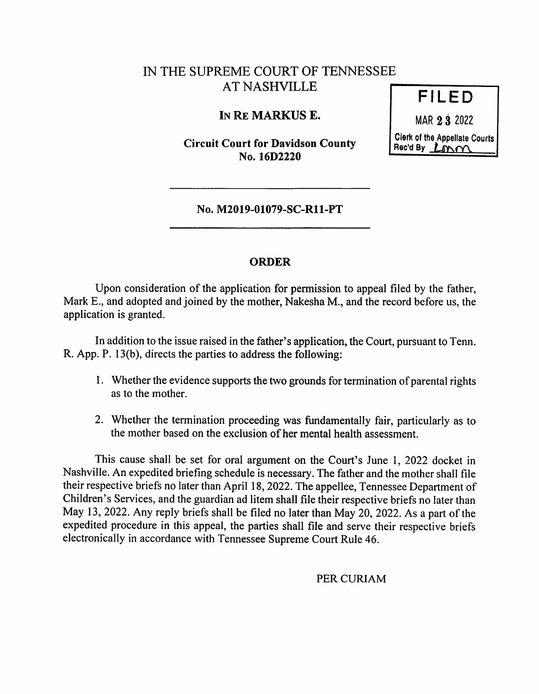# IN THE SUPREME COURT OF TENNESSEE AT NASHVILLE

### IN RE MARKUS E.

Circuit Court for Davidson County No. 16D2220

MAR 2 3 2022 Clerk of the Appellate Courts

Rec'd By  $L_{\text{DM}}\sim$ 

FILED

No. M2019-01079-SC-R11-PT

#### ORDER

Upon consideration of the application for permission to appeal filed by the father, Mark E., and adopted and joined by the mother, Nakesha M., and the record before us, the application is granted.

In addition to the issue raised in the father's application, the Court, pursuant to Tenn. R. App. P. 13(b), directs the parties to address the following:

- 1. Whether the evidence supports the two grounds for termination of parental rights as to the mother.
- 2. Whether the termination proceeding was fimdamentally fair, particularly as to the mother based on the exclusion of her mental health assessment.

This cause shall be set for oral argument on the Court's June 1, 2022 docket in Nashville. An expedited briefing schedule is necessary. The father and the mother shall file their respective briefs no later than April 18, 2022. The appellee, Tennessee Department of Children's Services, and the guardian ad litem shall file their respective briefs no later than May 13, 2022. Any reply briefs shall be filed no later than May 20, 2022. As a part of the expedited procedure in this appeal, the parties shall file and serve their respective briefs electronically in accordance with Tennessee Supreme Court Rule 46.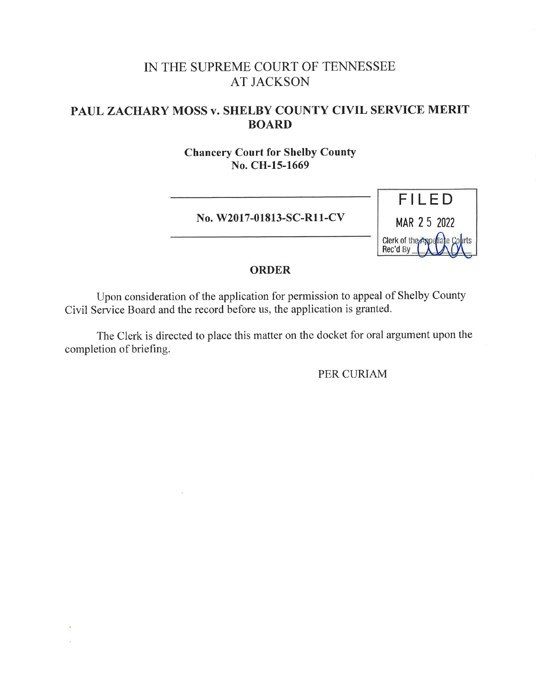# IN THE SUPREME COURT OF TENNESSEE AT JACKSON

## PAUL ZACHARY MOSS v. SHELBY COUNTY CIVIL SERVICE MERIT BOARD

Chancery Court for Shelby County No. CH-15-1669

No. W2017-01813-SC-R11-CV



#### ORDER

Upon consideration of the application for permission to appeal of Shelby County Civil Service Board and the record before us, the application is granted.

The Clerk is directed to place this matter on the docket for oral argument upon the completion of briefing.

 $\sim$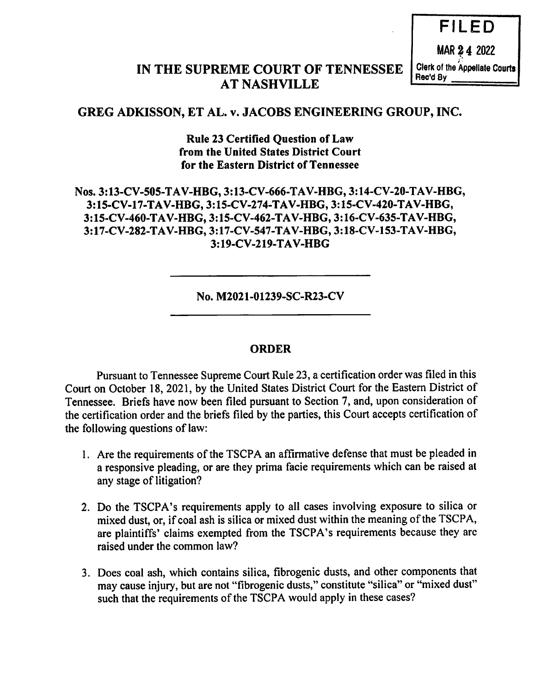FILED MAR 2 4 2022 Clerk of the Appellate Courts Rec'd By

### IN THE SUPREME COURT OF TENNESSEE AT NASHVILLE

## GREG ADKISSON, ET AL. v. JACOBS ENGINEERING GROUP, INC.

Rule 23 Certified Question of Law from the United States District Court for the Eastern District of Tennessee

### Nos. 3:13-CV-505-TAV-HBG, 3:13-CV-666-TAV-HBG, 3:14-CV-20-TAV-HBG, 3: 15-CV-17-TAV-HBG, 3 : 15-CV-274-TAV-HBG, 3 : 15-CV-420-TAV-HBG, 3 : 15-CV-460-TAV-HBG, 3 : 15-CV-462-TAV-HBG, 3 :16-CV-635-TAV-HBG, 3: 17-CV-282-TAV-HBG, 3 : 17-CV-547-TAV-HBG, 3 : 18-CV-153-TAV-HBG, 3:19-CV-219-TAV-HBG

No. M2021-01239-SC-R23-CV

### ORDER

Pursuant to Tennessee Supreme Court Rule 23, a certification order was filed in this Court on October 18, 2021, by the United States District Court for the Eastern District of Tennessee. Briefs have now been filed pursuant to Section 7, and, upon consideration of the certification order and the briefs filed by the parties, this Court accepts certification of the following questions of law:

- 1. Are the requirements of the TSCPA an affirmative defense that must be pleaded in a responsive pleading, or are they prima facie requirements which can be raised at any stage of litigation?
- 2. Do the TSCPA's requirements apply to all cases involving exposure to silica or mixed dust, or, if coal ash is silica or mixed dust within the meaning of the TSCPA, are plaintiffs' claims exempted from the TSCPA's requirements because they are raised under the common law?
- 3. Does coal ash, which contains silica, fibrogenic dusts, and other components that may cause injury, but are not "fibrogenic dusts," constitute "silica" or "mixed dust" such that the requirements of the TSCPA would apply in these cases?